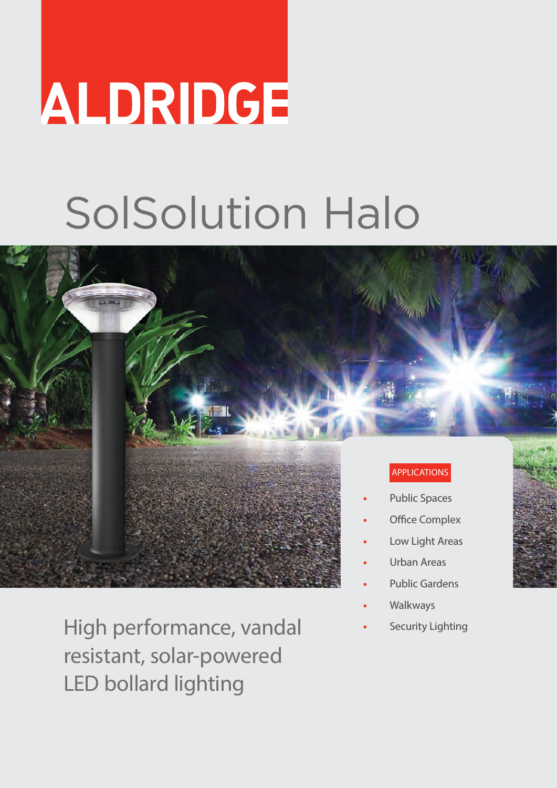# ALDRIDGE

## SolSolution Halo



High performance, vandal resistant, solar-powered LED bollard lighting

- 
- **•** Walkways
- **•** Security Lighting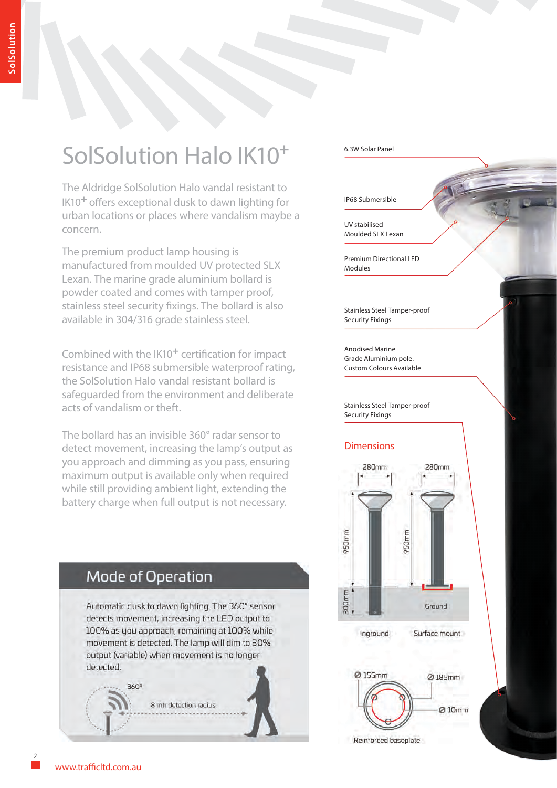### SolSolution Halo IK10**<sup>+</sup>**

The Aldridge SolSolution Halo vandal resistant to IK10**+** offers exceptional dusk to dawn lighting for urban locations or places where vandalism maybe a concern.

The premium product lamp housing is manufactured from moulded UV protected SLX Lexan. The marine grade aluminium bollard is powder coated and comes with tamper proof, stainless steel security fixings. The bollard is also available in 304/316 grade stainless steel.

Combined with the IK10**+** certification for impact resistance and IP68 submersible waterproof rating, the SolSolution Halo vandal resistant bollard is safeguarded from the environment and deliberate acts of vandalism or theft.

The bollard has an invisible 360° radar sensor to detect movement, increasing the lamp's output as you approach and dimming as you pass, ensuring maximum output is available only when required while still providing ambient light, extending the battery charge when full output is not necessary.



#### 6.3W Solar Panel

IP68 Submersible

UV stabilised Moulded SLX Lexan

Premium Directional LED Modules

Stainless Steel Tamper-proof Security Fixings

Anodised Marine Grade Aluminium pole. Custom Colours Available

Stainless Steel Tamper-proof Security Fixings

#### Dimensions



Reinforced baseplate

2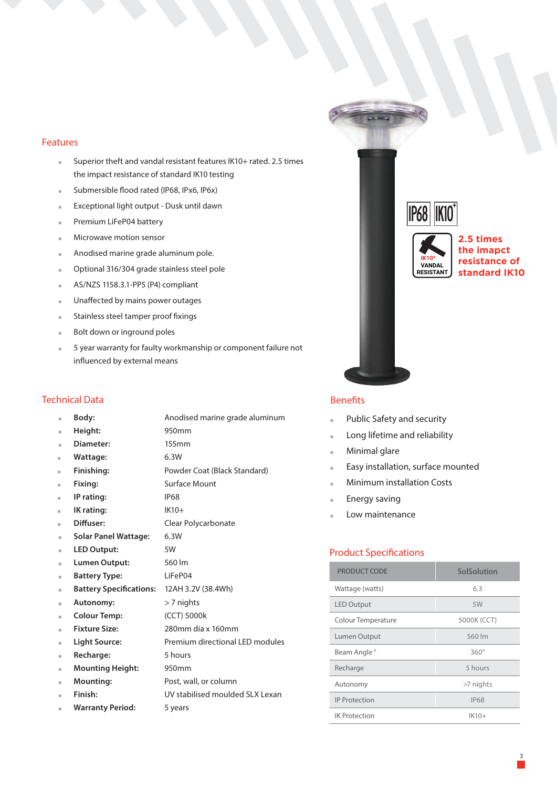#### Features

- **.** Superior theft and vandal resistant features IK10+ rated. 2.5 times the impact resistance of standard IK10 testing
- **.** Submersible flood rated (IP68, IPx6, IP6x)
- **.** Exceptional light output Dusk until dawn
- **.** Premium LiFeP04 battery
- **.** Microwave motion sensor
- **.** Anodised marine grade aluminum pole.
- **.** Optional 316/304 grade stainless steel pole
- **.** AS/NZS 1158.3.1-PP5 (P4) compliant
- **.** Unaffected by mains power outages
- **.** Stainless steel tamper proof fixings
- **.** Bolt down or inground poles
- **.** 5 year warranty for faulty workmanship or component failure not influenced by external means

#### Technical Data

| ш  | Body:                                      | Anodised marine grade aluminum  |
|----|--------------------------------------------|---------------------------------|
| ш  | Height:                                    | 950mm                           |
| ш  | Diameter:                                  | 155mm                           |
| ш  | Wattage:                                   | 6.3W                            |
| ш  | Finishing:                                 | Powder Coat (Black Standard)    |
| ш  | Fixing:                                    | Surface Mount                   |
| ш  | IP rating:                                 | <b>IP68</b>                     |
| ш  | IK rating:                                 | $IK10+$                         |
| ш  | Diffuser:                                  | Clear Polycarbonate             |
| ш  | <b>Solar Panel Wattage:</b>                | 6.3W                            |
| ш  | <b>LED Output:</b>                         | 5W                              |
| ш  | Lumen Output:                              | 560 lm                          |
| ш  | <b>Battery Type:</b>                       | LiFeP04                         |
| ш  | Battery Specifications: 12AH 3.2V (38.4Wh) |                                 |
| ш  | <b>Autonomy:</b>                           | $> 7$ nights                    |
| ш  | <b>Colour Temp:</b>                        | (CCT) 5000k                     |
| ш  | <b>Fixture Size:</b>                       | 280mm dia x 160mm               |
| ш  | <b>Light Source:</b>                       | Premium directional LED modules |
| ш  | Recharge:                                  | 5 hours                         |
| ш  | <b>Mounting Height:</b>                    | 950 <sub>mm</sub>               |
| ш  | <b>Mounting:</b>                           | Post, wall, or column           |
| m, | Finish:                                    | UV stabilised moulded SLX Lexan |
| ш  | <b>Warranty Period:</b>                    | 5 years                         |





**2.5 times the imapct resistance of standard IK10**

#### Benefits

- **.** Public Safety and security
- **.** Long lifetime and reliability
- **.** Minimal glare
- **.** Easy installation, surface mounted
- **.** Minimum installation Costs
- **.** Energy saving
- **.** Low maintenance

#### Product Specifications

| <b>PRODUCT CODE</b>  | <b>SolSolution</b> |
|----------------------|--------------------|
| Wattage (watts)      | 6.3                |
| <b>LED Output</b>    | 5W                 |
| Colour Temperature   | 5000K (CCT)        |
| Lumen Output         | 560 lm             |
| Beam Angle °         | $360^\circ$        |
| Recharge             | 5 hours            |
| Autonomy             | >7 nights          |
| <b>IP Protection</b> | <b>IP68</b>        |
| <b>IK Protection</b> | $IK10+$            |

3